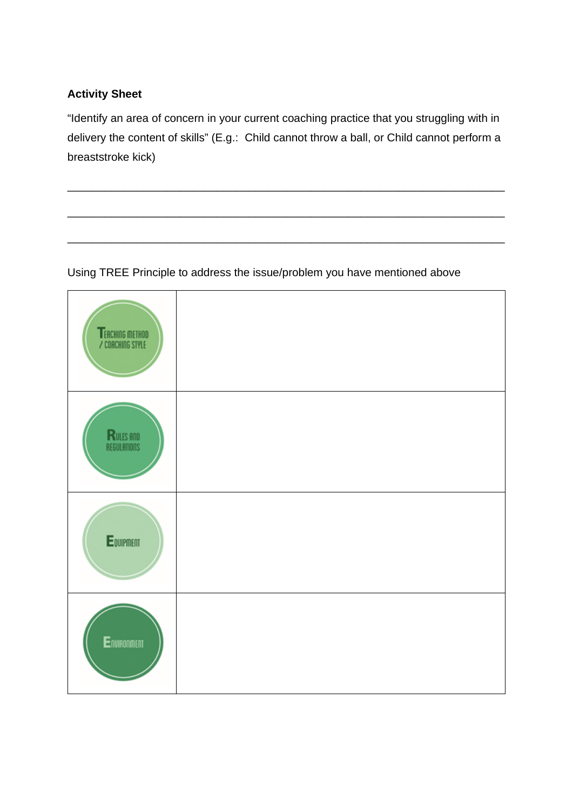### **Activity Sheet**

"Identify an area of concern in your current coaching practice that you struggling with in delivery the content of skills" (E.g.: Child cannot throw a ball, or Child cannot perform a breaststroke kick)

\_\_\_\_\_\_\_\_\_\_\_\_\_\_\_\_\_\_\_\_\_\_\_\_\_\_\_\_\_\_\_\_\_\_\_\_\_\_\_\_\_\_\_\_\_\_\_\_\_\_\_\_\_\_\_\_\_\_\_\_\_\_\_\_\_\_\_\_\_\_

\_\_\_\_\_\_\_\_\_\_\_\_\_\_\_\_\_\_\_\_\_\_\_\_\_\_\_\_\_\_\_\_\_\_\_\_\_\_\_\_\_\_\_\_\_\_\_\_\_\_\_\_\_\_\_\_\_\_\_\_\_\_\_\_\_\_\_\_\_\_

\_\_\_\_\_\_\_\_\_\_\_\_\_\_\_\_\_\_\_\_\_\_\_\_\_\_\_\_\_\_\_\_\_\_\_\_\_\_\_\_\_\_\_\_\_\_\_\_\_\_\_\_\_\_\_\_\_\_\_\_\_\_\_\_\_\_\_\_\_\_

### Using TREE Principle to address the issue/problem you have mentioned above

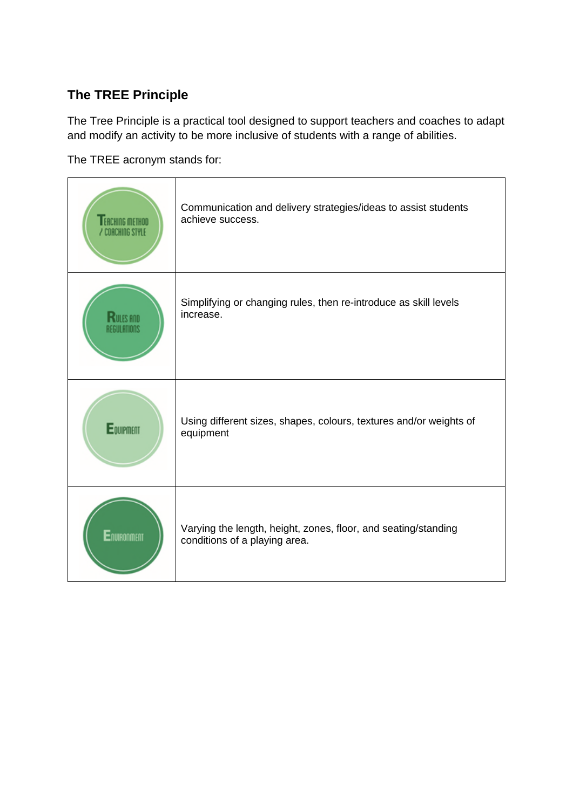# **The TREE Principle**

The Tree Principle is a practical tool designed to support teachers and coaches to adapt and modify an activity to be more inclusive of students with a range of abilities.

The TREE acronym stands for:

| <b>FACHING METHOD</b><br>' COACHING STYLE | Communication and delivery strategies/ideas to assist students<br>achieve success.              |
|-------------------------------------------|-------------------------------------------------------------------------------------------------|
|                                           | Simplifying or changing rules, then re-introduce as skill levels<br>increase.                   |
| Equipment                                 | Using different sizes, shapes, colours, textures and/or weights of<br>equipment                 |
| Environment                               | Varying the length, height, zones, floor, and seating/standing<br>conditions of a playing area. |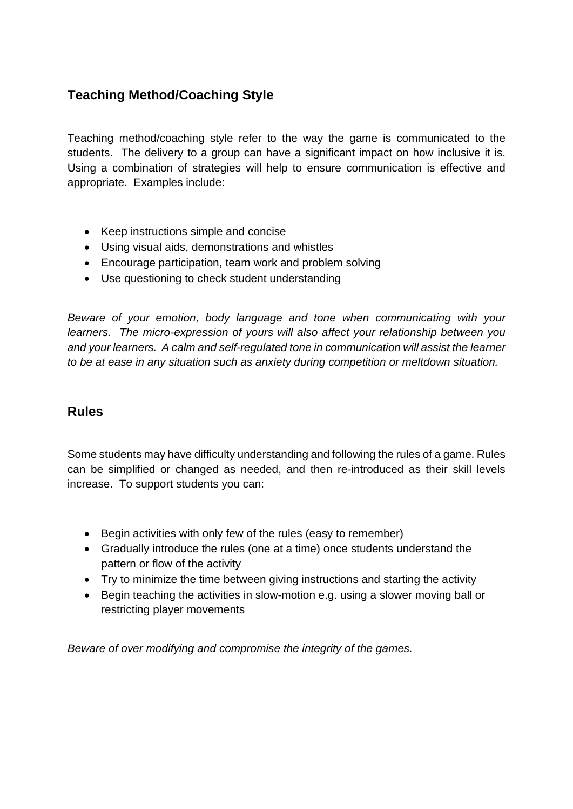# **Teaching Method/Coaching Style**

Teaching method/coaching style refer to the way the game is communicated to the students. The delivery to a group can have a significant impact on how inclusive it is. Using a combination of strategies will help to ensure communication is effective and appropriate. Examples include:

- Keep instructions simple and concise
- Using visual aids, demonstrations and whistles
- Encourage participation, team work and problem solving
- Use questioning to check student understanding

*Beware of your emotion, body language and tone when communicating with your learners. The micro-expression of yours will also affect your relationship between you and your learners. A calm and self-regulated tone in communication will assist the learner to be at ease in any situation such as anxiety during competition or meltdown situation.*

### **Rules**

Some students may have difficulty understanding and following the rules of a game. Rules can be simplified or changed as needed, and then re-introduced as their skill levels increase. To support students you can:

- Begin activities with only few of the rules (easy to remember)
- Gradually introduce the rules (one at a time) once students understand the pattern or flow of the activity
- Try to minimize the time between giving instructions and starting the activity
- Begin teaching the activities in slow-motion e.g. using a slower moving ball or restricting player movements

*Beware of over modifying and compromise the integrity of the games.*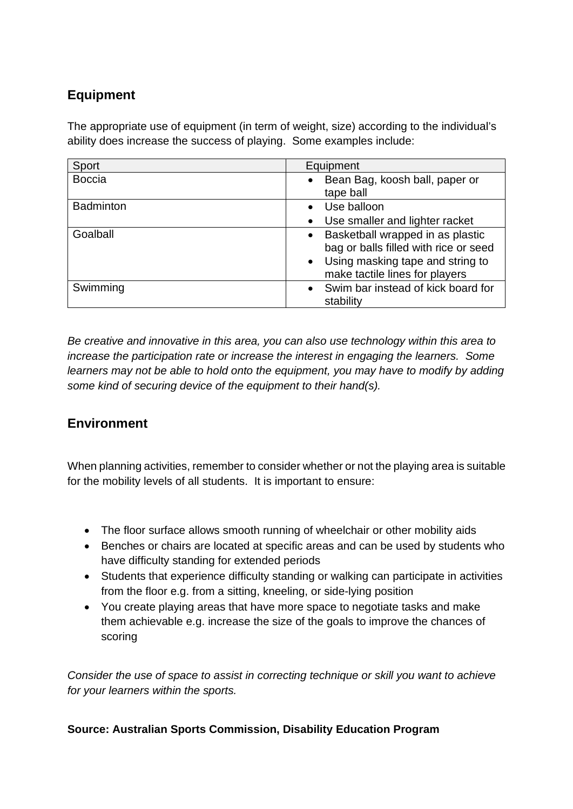## **Equipment**

The appropriate use of equipment (in term of weight, size) according to the individual's ability does increase the success of playing. Some examples include:

| Sport            | Equipment                                                                                                                                           |
|------------------|-----------------------------------------------------------------------------------------------------------------------------------------------------|
| <b>Boccia</b>    | Bean Bag, koosh ball, paper or<br>tape ball                                                                                                         |
| <b>Badminton</b> | Use balloon                                                                                                                                         |
|                  | • Use smaller and lighter racket                                                                                                                    |
| Goalball         | • Basketball wrapped in as plastic<br>bag or balls filled with rice or seed<br>• Using masking tape and string to<br>make tactile lines for players |
| Swimming         | • Swim bar instead of kick board for<br>stability                                                                                                   |

*Be creative and innovative in this area, you can also use technology within this area to increase the participation rate or increase the interest in engaging the learners. Some learners may not be able to hold onto the equipment, you may have to modify by adding some kind of securing device of the equipment to their hand(s).*

### **Environment**

When planning activities, remember to consider whether or not the playing area is suitable for the mobility levels of all students. It is important to ensure:

- The floor surface allows smooth running of wheelchair or other mobility aids
- Benches or chairs are located at specific areas and can be used by students who have difficulty standing for extended periods
- Students that experience difficulty standing or walking can participate in activities from the floor e.g. from a sitting, kneeling, or side-lying position
- You create playing areas that have more space to negotiate tasks and make them achievable e.g. increase the size of the goals to improve the chances of scoring

*Consider the use of space to assist in correcting technique or skill you want to achieve for your learners within the sports.*

#### **Source: Australian Sports Commission, Disability Education Program**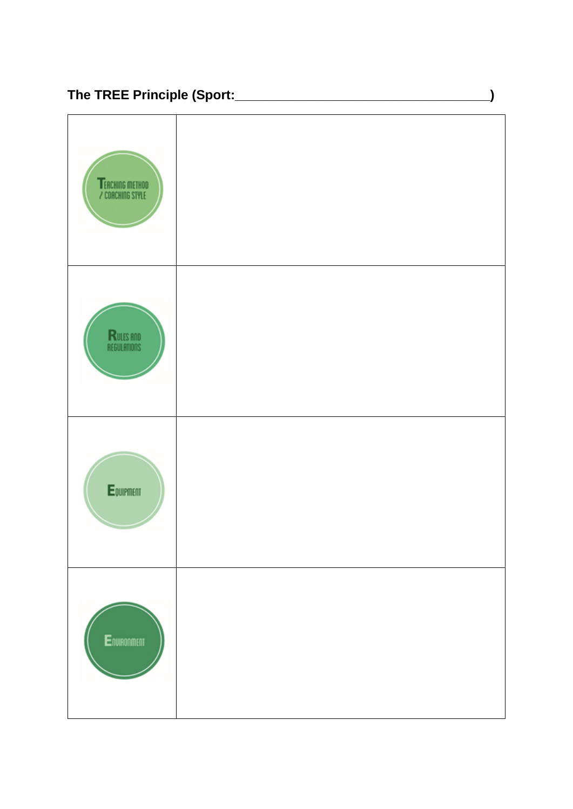

 $\overline{\phantom{a}}$